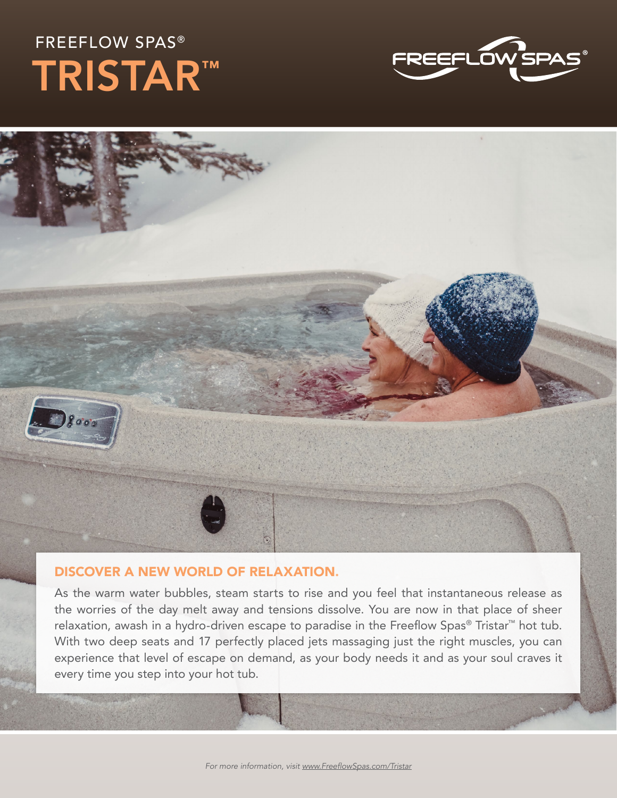## FREEFLOW SPAS® TRISTAR™



## DISCOVER A NEW WORLD OF RELAXATION.

As the warm water bubbles, steam starts to rise and you feel that instantaneous release as the worries of the day melt away and tensions dissolve. You are now in that place of sheer relaxation, awash in a hydro-driven escape to paradise in the Freeflow Spas® Tristar™ hot tub. With two deep seats and 17 perfectly placed jets massaging just the right muscles, you can experience that level of escape on demand, as your body needs it and as your soul craves it every time you step into your hot tub.